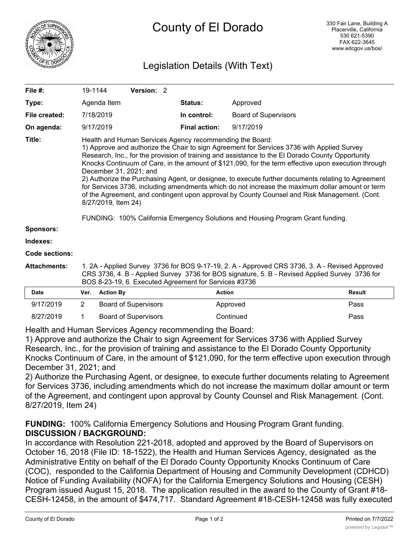

# Legislation Details (With Text)

| File #:             | 19-1144                                                                                                                                                                                                                                                                                                                                                                                                                                                                                                                                                                                                                                                                                                                                                                                                        |                  | Version: 2                  |  |                      |                             |               |
|---------------------|----------------------------------------------------------------------------------------------------------------------------------------------------------------------------------------------------------------------------------------------------------------------------------------------------------------------------------------------------------------------------------------------------------------------------------------------------------------------------------------------------------------------------------------------------------------------------------------------------------------------------------------------------------------------------------------------------------------------------------------------------------------------------------------------------------------|------------------|-----------------------------|--|----------------------|-----------------------------|---------------|
| Type:               |                                                                                                                                                                                                                                                                                                                                                                                                                                                                                                                                                                                                                                                                                                                                                                                                                | Agenda Item      |                             |  | <b>Status:</b>       | Approved                    |               |
| File created:       |                                                                                                                                                                                                                                                                                                                                                                                                                                                                                                                                                                                                                                                                                                                                                                                                                | 7/18/2019        |                             |  | In control:          | <b>Board of Supervisors</b> |               |
| On agenda:          |                                                                                                                                                                                                                                                                                                                                                                                                                                                                                                                                                                                                                                                                                                                                                                                                                | 9/17/2019        |                             |  | <b>Final action:</b> | 9/17/2019                   |               |
| Title:              | Health and Human Services Agency recommending the Board:<br>1) Approve and authorize the Chair to sign Agreement for Services 3736 with Applied Survey<br>Research, Inc., for the provision of training and assistance to the El Dorado County Opportunity<br>Knocks Continuum of Care, in the amount of \$121,090, for the term effective upon execution through<br>December 31, 2021; and<br>2) Authorize the Purchasing Agent, or designee, to execute further documents relating to Agreement<br>for Services 3736, including amendments which do not increase the maximum dollar amount or term<br>of the Agreement, and contingent upon approval by County Counsel and Risk Management. (Cont.<br>8/27/2019, Item 24)<br>FUNDING: 100% California Emergency Solutions and Housing Program Grant funding. |                  |                             |  |                      |                             |               |
| <b>Sponsors:</b>    |                                                                                                                                                                                                                                                                                                                                                                                                                                                                                                                                                                                                                                                                                                                                                                                                                |                  |                             |  |                      |                             |               |
| Indexes:            |                                                                                                                                                                                                                                                                                                                                                                                                                                                                                                                                                                                                                                                                                                                                                                                                                |                  |                             |  |                      |                             |               |
| Code sections:      |                                                                                                                                                                                                                                                                                                                                                                                                                                                                                                                                                                                                                                                                                                                                                                                                                |                  |                             |  |                      |                             |               |
| <b>Attachments:</b> | 1. 2A - Applied Survey 3736 for BOS 9-17-19, 2. A - Approved CRS 3736, 3. A - Revised Approved<br>CRS 3736, 4. B - Applied Survey 3736 for BOS signature, 5. B - Revised Applied Survey 3736 for<br>BOS 8-23-19, 6. Executed Agreement for Services #3736                                                                                                                                                                                                                                                                                                                                                                                                                                                                                                                                                      |                  |                             |  |                      |                             |               |
| <b>Date</b>         | Ver.                                                                                                                                                                                                                                                                                                                                                                                                                                                                                                                                                                                                                                                                                                                                                                                                           | <b>Action By</b> |                             |  |                      | <b>Action</b>               | <b>Result</b> |
| 9/17/2019           | $\overline{2}$                                                                                                                                                                                                                                                                                                                                                                                                                                                                                                                                                                                                                                                                                                                                                                                                 |                  | <b>Board of Supervisors</b> |  |                      | Approved                    | Pass          |

8/27/2019 1 Board of Supervisors Continued Continued Pass

Health and Human Services Agency recommending the Board: 1) Approve and authorize the Chair to sign Agreement for Services 3736 with Applied Survey

Research, Inc., for the provision of training and assistance to the El Dorado County Opportunity Knocks Continuum of Care, in the amount of \$121,090, for the term effective upon execution through December 31, 2021; and

2) Authorize the Purchasing Agent, or designee, to execute further documents relating to Agreement for Services 3736, including amendments which do not increase the maximum dollar amount or term of the Agreement, and contingent upon approval by County Counsel and Risk Management. (Cont. 8/27/2019, Item 24)

**FUNDING:** 100% California Emergency Solutions and Housing Program Grant funding. **DISCUSSION / BACKGROUND:**

In accordance with Resolution 221-2018, adopted and approved by the Board of Supervisors on October 16, 2018 (File ID: 18-1522), the Health and Human Services Agency, designated as the Administrative Entity on behalf of the El Dorado County Opportunity Knocks Continuum of Care (COC), responded to the California Department of Housing and Community Development (CDHCD) Notice of Funding Availability (NOFA) for the California Emergency Solutions and Housing (CESH) Program issued August 15, 2018. The application resulted in the award to the County of Grant #18- CESH-12458, in the amount of \$474,717. Standard Agreement #18-CESH-12458 was fully executed